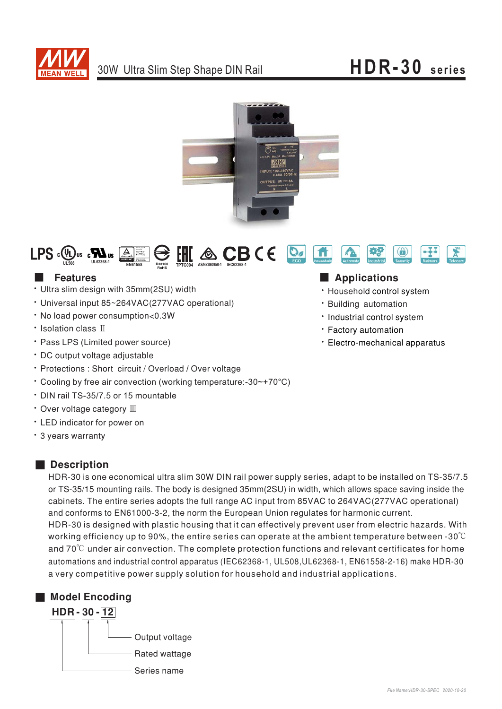

# **HDR-30 series**





### **Features**

- $\cdot$  Ultra slim design with 35mm(2SU) width
- Universal input 85~264VAC(277VAC operational)
- No load power consumption<0.3W
- Isolation class II
- Pass LPS (Limited power source)
- DC output voltage adjustable
- Protections : Short circuit / Overload / Over voltage
- . Cooling by free air convection (working temperature:-30~+70°C)
- $\cdot$  DIN rail TS-35/7.5 or 15 mountable
- Over voltage category III
- LED indicator for power on
- · 3 years warranty

## ■ **Description**

HDR-30 is one economical ultra slim 30W DIN rail power supply series, adapt to be installed on TS-35/7.5 or TS-35/15 mounting rails. The body is designed 35mm(2SU) in width, which allows space saving inside the cabinets. The entire series adopts the full range AC input from 85VAC to 264VAC(277VAC operational) and conforms to EN61000-3-2, the norm the European Union regulates for harmonic current. HDR-30 is designed with plastic housing that it can effectively prevent user from electric hazards. With working efficiency up to 90%, the entire series can operate at the ambient temperature between -30 $^\circ\!{\rm C}$ and 70 $\rm ^{\circ}C$  under air convection. The complete protection functions and relevant certificates for home automations and industrial control apparatus (IEC62368-1, UL508,UL62368-1, EN61558-2-16) make HDR-30 a very competitive power supply solution for household and industrial applications.



### ■ **Applications**

- Household control system
- · Building automation
- · Industrial control system
- \* Factory automation
- Electro-mechanical apparatus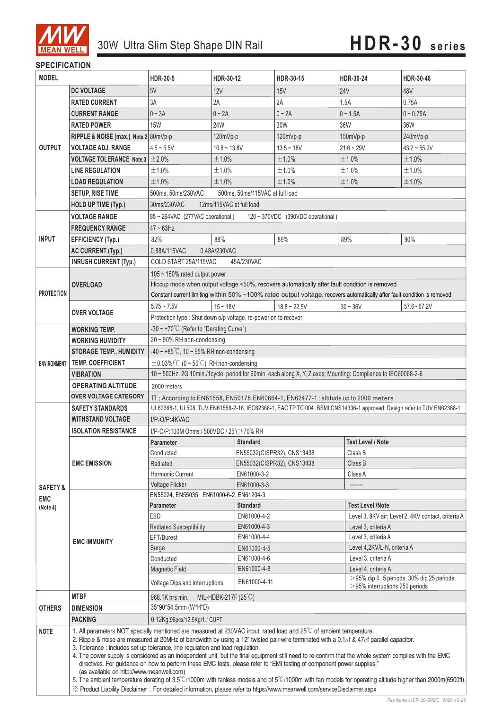

#### **SPECIFICATION**

Ξ

| <b>MODEL</b>        |                                                                                                                                                                      | <b>HDR-30-5</b>                                                                                                                                                                                                                                                                                                                                                                                                                                                                                                                                                                                                                                                                                                                                                                                          | HDR-30-12      |                            | HDR-30-15                                                | HDR-30-24    | HDR-30-48                                          |  |
|---------------------|----------------------------------------------------------------------------------------------------------------------------------------------------------------------|----------------------------------------------------------------------------------------------------------------------------------------------------------------------------------------------------------------------------------------------------------------------------------------------------------------------------------------------------------------------------------------------------------------------------------------------------------------------------------------------------------------------------------------------------------------------------------------------------------------------------------------------------------------------------------------------------------------------------------------------------------------------------------------------------------|----------------|----------------------------|----------------------------------------------------------|--------------|----------------------------------------------------|--|
|                     | <b>DC VOLTAGE</b>                                                                                                                                                    | 5V                                                                                                                                                                                                                                                                                                                                                                                                                                                                                                                                                                                                                                                                                                                                                                                                       | <b>12V</b>     |                            | 15V                                                      | <b>24V</b>   | 48V                                                |  |
| <b>OUTPUT</b>       | <b>RATED CURRENT</b>                                                                                                                                                 | 3A                                                                                                                                                                                                                                                                                                                                                                                                                                                                                                                                                                                                                                                                                                                                                                                                       | 2A             |                            | 2A                                                       | 1.5A         | 0.75A                                              |  |
|                     | <b>CURRENT RANGE</b>                                                                                                                                                 | $0 \sim 3A$                                                                                                                                                                                                                                                                                                                                                                                                                                                                                                                                                                                                                                                                                                                                                                                              | $0 - 2A$       |                            | $0 - 2A$                                                 | $0 - 1.5A$   | $0 - 0.75A$                                        |  |
|                     | <b>RATED POWER</b>                                                                                                                                                   | <b>15W</b>                                                                                                                                                                                                                                                                                                                                                                                                                                                                                                                                                                                                                                                                                                                                                                                               | 24W            |                            | 30W                                                      | 36W          | 36W                                                |  |
|                     | RIPPLE & NOISE (max.) Note.2 80mVp-p                                                                                                                                 |                                                                                                                                                                                                                                                                                                                                                                                                                                                                                                                                                                                                                                                                                                                                                                                                          | 120mVp-p       |                            | 120mVp-p                                                 | 150mVp-p     | 240mVp-p                                           |  |
|                     | <b>VOLTAGE ADJ. RANGE</b>                                                                                                                                            | $4.5 - 5.5V$                                                                                                                                                                                                                                                                                                                                                                                                                                                                                                                                                                                                                                                                                                                                                                                             | $10.8 - 13.8V$ |                            | $13.5 - 18V$                                             | $21.6 - 29V$ | $43.2 \sim 55.2V$                                  |  |
|                     | <b>VOLTAGE TOLERANCE</b> Note.3 $\pm 2.0\%$                                                                                                                          |                                                                                                                                                                                                                                                                                                                                                                                                                                                                                                                                                                                                                                                                                                                                                                                                          | ±1.0%          |                            | ±1.0%                                                    | ±1.0%        | ±1.0%                                              |  |
|                     | <b>LINE REGULATION</b>                                                                                                                                               | ±1.0%                                                                                                                                                                                                                                                                                                                                                                                                                                                                                                                                                                                                                                                                                                                                                                                                    | ±1.0%          |                            | ±1.0%                                                    | ±1.0%        | ±1.0%                                              |  |
|                     | <b>LOAD REGULATION</b>                                                                                                                                               | ±1.0%                                                                                                                                                                                                                                                                                                                                                                                                                                                                                                                                                                                                                                                                                                                                                                                                    | ±1.0%          |                            | ±1.0%                                                    | ±1.0%        | ±1.0%                                              |  |
|                     | <b>SETUP, RISE TIME</b>                                                                                                                                              | 500ms, 50ms/230VAC<br>500ms, 50ms/115VAC at full load                                                                                                                                                                                                                                                                                                                                                                                                                                                                                                                                                                                                                                                                                                                                                    |                |                            |                                                          |              |                                                    |  |
|                     | HOLD UP TIME (Typ.)                                                                                                                                                  | 30ms/230VAC<br>12ms/115VAC at full load                                                                                                                                                                                                                                                                                                                                                                                                                                                                                                                                                                                                                                                                                                                                                                  |                |                            |                                                          |              |                                                    |  |
|                     | <b>VOLTAGE RANGE</b>                                                                                                                                                 | 85 ~ 264VAC (277VAC operational)<br>120 ~ 370VDC (390VDC operational)                                                                                                                                                                                                                                                                                                                                                                                                                                                                                                                                                                                                                                                                                                                                    |                |                            |                                                          |              |                                                    |  |
|                     | <b>FREQUENCY RANGE</b>                                                                                                                                               | $47 \sim 63$ Hz                                                                                                                                                                                                                                                                                                                                                                                                                                                                                                                                                                                                                                                                                                                                                                                          |                |                            |                                                          |              |                                                    |  |
| <b>INPUT</b>        | <b>EFFICIENCY (Typ.)</b>                                                                                                                                             | 82%                                                                                                                                                                                                                                                                                                                                                                                                                                                                                                                                                                                                                                                                                                                                                                                                      | 88%            |                            | 89%                                                      | 89%          | 90%                                                |  |
|                     | AC CURRENT (Typ.)                                                                                                                                                    | 0.88A/115VAC                                                                                                                                                                                                                                                                                                                                                                                                                                                                                                                                                                                                                                                                                                                                                                                             | 0.48A/230VAC   |                            |                                                          |              |                                                    |  |
|                     | <b>INRUSH CURRENT (Typ.)</b>                                                                                                                                         | COLD START 25A/115VAC<br>45A/230VAC                                                                                                                                                                                                                                                                                                                                                                                                                                                                                                                                                                                                                                                                                                                                                                      |                |                            |                                                          |              |                                                    |  |
| <b>PROTECTION</b>   | <b>OVERLOAD</b>                                                                                                                                                      | 105 ~ 160% rated output power                                                                                                                                                                                                                                                                                                                                                                                                                                                                                                                                                                                                                                                                                                                                                                            |                |                            |                                                          |              |                                                    |  |
|                     |                                                                                                                                                                      | Hiccup mode when output voltage <50%, recovers automatically after fault condition is removed                                                                                                                                                                                                                                                                                                                                                                                                                                                                                                                                                                                                                                                                                                            |                |                            |                                                          |              |                                                    |  |
|                     |                                                                                                                                                                      | Constant current limiting within 50% ~100% rated output voltage, recovers automatically after fault condition is removed                                                                                                                                                                                                                                                                                                                                                                                                                                                                                                                                                                                                                                                                                 |                |                            |                                                          |              |                                                    |  |
|                     | <b>OVER VOLTAGE</b>                                                                                                                                                  | $5.75 - 7.5V$                                                                                                                                                                                                                                                                                                                                                                                                                                                                                                                                                                                                                                                                                                                                                                                            | $15 - 18V$     |                            | $18.8 \sim 22.5V$                                        | $30 - 36V$   | $57.6 - 67.2V$                                     |  |
|                     |                                                                                                                                                                      | Protection type : Shut down o/p voltage, re-power on to recover                                                                                                                                                                                                                                                                                                                                                                                                                                                                                                                                                                                                                                                                                                                                          |                |                            |                                                          |              |                                                    |  |
|                     | <b>WORKING TEMP.</b>                                                                                                                                                 | -30 ~ +70°C (Refer to "Derating Curve")                                                                                                                                                                                                                                                                                                                                                                                                                                                                                                                                                                                                                                                                                                                                                                  |                |                            |                                                          |              |                                                    |  |
|                     | <b>WORKING HUMIDITY</b>                                                                                                                                              | 20~90% RH non-condensing                                                                                                                                                                                                                                                                                                                                                                                                                                                                                                                                                                                                                                                                                                                                                                                 |                |                            |                                                          |              |                                                    |  |
|                     | <b>STORAGE TEMP., HUMIDITY</b>                                                                                                                                       | $-40 \sim +85^{\circ}$ C, 10 ~ 95% RH non-condensing                                                                                                                                                                                                                                                                                                                                                                                                                                                                                                                                                                                                                                                                                                                                                     |                |                            |                                                          |              |                                                    |  |
| ENVIRONMENT         | <b>TEMP, COEFFICIENT</b>                                                                                                                                             | $\pm$ 0.03%/°C (0 ~ 50°C) RH non-condensing                                                                                                                                                                                                                                                                                                                                                                                                                                                                                                                                                                                                                                                                                                                                                              |                |                            |                                                          |              |                                                    |  |
|                     | <b>VIBRATION</b>                                                                                                                                                     | 10 ~ 500Hz, 2G 10min./1cycle, period for 60min. each along X, Y, Z axes; Mounting: Compliance to IEC60068-2-6                                                                                                                                                                                                                                                                                                                                                                                                                                                                                                                                                                                                                                                                                            |                |                            |                                                          |              |                                                    |  |
|                     | <b>OPERATING ALTITUDE</b>                                                                                                                                            | 2000 meters                                                                                                                                                                                                                                                                                                                                                                                                                                                                                                                                                                                                                                                                                                                                                                                              |                |                            |                                                          |              |                                                    |  |
|                     | <b>OVER VOLTAGE CATEGORY</b>                                                                                                                                         | III; According to EN61558, EN50178, EN60664-1, EN62477-1; altitude up to 2000 meters                                                                                                                                                                                                                                                                                                                                                                                                                                                                                                                                                                                                                                                                                                                     |                |                            |                                                          |              |                                                    |  |
|                     | <b>SAFETY STANDARDS</b>                                                                                                                                              | UL62368-1, UL508, TUV EN61558-2-16, IEC62368-1, EAC TP TC 004, BSMI CNS14336-1 approved; Design refer to TUV EN62368-1                                                                                                                                                                                                                                                                                                                                                                                                                                                                                                                                                                                                                                                                                   |                |                            |                                                          |              |                                                    |  |
|                     | <b>WITHSTAND VOLTAGE</b>                                                                                                                                             | I/P-O/P:4KVAC                                                                                                                                                                                                                                                                                                                                                                                                                                                                                                                                                                                                                                                                                                                                                                                            |                |                            |                                                          |              |                                                    |  |
|                     | <b>ISOLATION RESISTANCE</b>                                                                                                                                          | I/P-O/P:100M Ohms / 500VDC / 25℃/ 70% RH                                                                                                                                                                                                                                                                                                                                                                                                                                                                                                                                                                                                                                                                                                                                                                 |                |                            |                                                          |              |                                                    |  |
|                     | <b>EMC EMISSION</b>                                                                                                                                                  | <b>Parameter</b><br>Conducted                                                                                                                                                                                                                                                                                                                                                                                                                                                                                                                                                                                                                                                                                                                                                                            |                | <b>Standard</b>            |                                                          |              | <b>Test Level / Note</b>                           |  |
|                     |                                                                                                                                                                      | Radiated                                                                                                                                                                                                                                                                                                                                                                                                                                                                                                                                                                                                                                                                                                                                                                                                 |                |                            | EN55032(CISPR32), CNS13438<br>EN55032(CISPR32), CNS13438 |              | Class B<br>Class B                                 |  |
|                     |                                                                                                                                                                      | Harmonic Current                                                                                                                                                                                                                                                                                                                                                                                                                                                                                                                                                                                                                                                                                                                                                                                         |                | EN61000-3-2                |                                                          |              | Class A                                            |  |
| <b>SAFETY &amp;</b> |                                                                                                                                                                      | <b>Voltage Flicker</b>                                                                                                                                                                                                                                                                                                                                                                                                                                                                                                                                                                                                                                                                                                                                                                                   |                | EN61000-3-3                |                                                          |              |                                                    |  |
| <b>EMC</b>          | <b>EMC IMMUNITY</b>                                                                                                                                                  | EN55024, EN55035, EN61000-6-2, EN61204-3                                                                                                                                                                                                                                                                                                                                                                                                                                                                                                                                                                                                                                                                                                                                                                 |                |                            |                                                          |              |                                                    |  |
| (Note 4)            |                                                                                                                                                                      | <b>Parameter</b>                                                                                                                                                                                                                                                                                                                                                                                                                                                                                                                                                                                                                                                                                                                                                                                         |                | <b>Standard</b>            |                                                          |              | <b>Test Level /Note</b>                            |  |
|                     |                                                                                                                                                                      | ESD                                                                                                                                                                                                                                                                                                                                                                                                                                                                                                                                                                                                                                                                                                                                                                                                      |                | EN61000-4-2                |                                                          |              | Level 3, 8KV air; Level 2, 4KV contact, criteria A |  |
|                     |                                                                                                                                                                      | <b>Radiated Susceptibility</b>                                                                                                                                                                                                                                                                                                                                                                                                                                                                                                                                                                                                                                                                                                                                                                           |                | EN61000-4-3                |                                                          |              | Level 3, criteria A                                |  |
|                     |                                                                                                                                                                      | EFT/Burest                                                                                                                                                                                                                                                                                                                                                                                                                                                                                                                                                                                                                                                                                                                                                                                               |                | EN61000-4-4                |                                                          |              | Level 3, criteria A                                |  |
|                     |                                                                                                                                                                      | Surge                                                                                                                                                                                                                                                                                                                                                                                                                                                                                                                                                                                                                                                                                                                                                                                                    |                | EN61000-4-5                |                                                          |              | Level 4,2KV/L-N, criteria A                        |  |
|                     |                                                                                                                                                                      | Conducted<br>Magnetic Field                                                                                                                                                                                                                                                                                                                                                                                                                                                                                                                                                                                                                                                                                                                                                                              |                | EN61000-4-6<br>EN61000-4-8 |                                                          |              | Level 3, criteria A<br>Level 4, criteria A         |  |
|                     |                                                                                                                                                                      | Voltage Dips and interruptions                                                                                                                                                                                                                                                                                                                                                                                                                                                                                                                                                                                                                                                                                                                                                                           |                | EN61000-4-11               |                                                          |              | $>$ 95% dip 0. 5 periods, 30% dip 25 periods,      |  |
|                     |                                                                                                                                                                      |                                                                                                                                                                                                                                                                                                                                                                                                                                                                                                                                                                                                                                                                                                                                                                                                          |                |                            |                                                          |              | $>$ 95% interruptions 250 periods                  |  |
|                     | <b>MTBF</b>                                                                                                                                                          | 968.1K hrs min.<br>MIL-HDBK-217F (25°C)                                                                                                                                                                                                                                                                                                                                                                                                                                                                                                                                                                                                                                                                                                                                                                  |                |                            |                                                          |              |                                                    |  |
| <b>OTHERS</b>       | <b>DIMENSION</b>                                                                                                                                                     | 35*90*54.5mm (W*H*D)                                                                                                                                                                                                                                                                                                                                                                                                                                                                                                                                                                                                                                                                                                                                                                                     |                |                            |                                                          |              |                                                    |  |
|                     | <b>PACKING</b><br>0.12Kg;96pcs/12.5Kg/1.1CUFT<br>1. All parameters NOT specially mentioned are measured at 230VAC input, rated load and 25°C of ambient temperature. |                                                                                                                                                                                                                                                                                                                                                                                                                                                                                                                                                                                                                                                                                                                                                                                                          |                |                            |                                                          |              |                                                    |  |
| <b>NOTE</b>         | (as available on http://www.meanwell.com)                                                                                                                            | 2. Ripple & noise are measured at 20MHz of bandwidth by using a 12" twisted pair-wire terminated with a 0.1µf & 47µf parallel capacitor.<br>3. Tolerance : includes set up tolerance, line regulation and load regulation.<br>4. The power supply is considered as an independent unit, but the final equipment still need to re-confirm that the whole system complies with the EMC<br>directives. For guidance on how to perform these EMC tests, please refer to "EMI testing of component power supplies."<br>5. The ambient temperature derating of 3.5°C/1000m with fanless models and of 5°C/1000m with fan models for operating altitude higher than 2000m(6500ft).<br>※ Product Liability Disclaimer: For detailed information, please refer to https://www.meanwell.com/serviceDisclaimer.aspx |                |                            |                                                          |              |                                                    |  |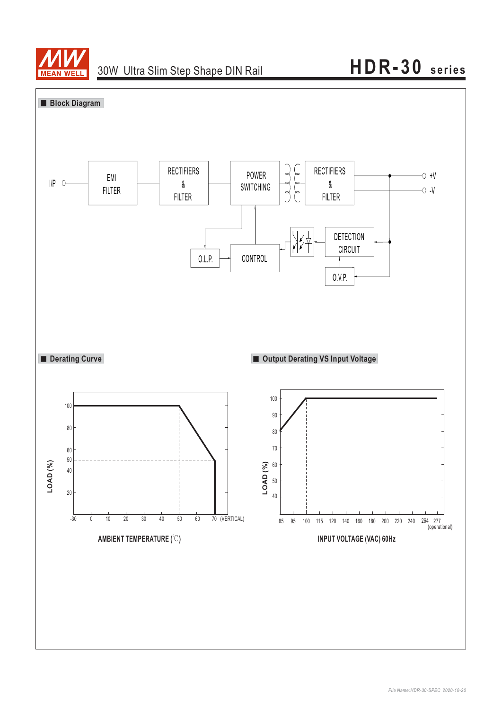

## **HDR-30 series**